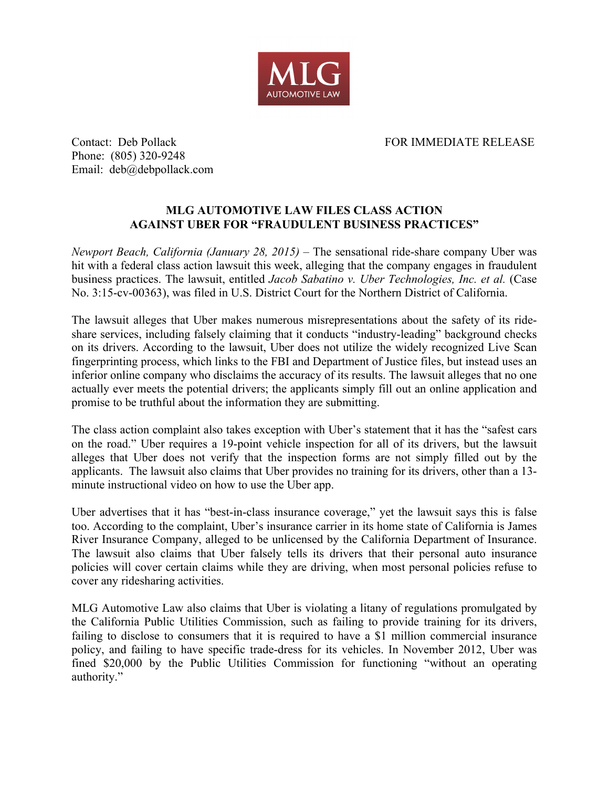

## Contact: Deb Pollack FOR IMMEDIATE RELEASE

Phone: (805) 320-9248 Email: deb@debpollack.com

## **MLG AUTOMOTIVE LAW FILES CLASS ACTION AGAINST UBER FOR "FRAUDULENT BUSINESS PRACTICES"**

*Newport Beach, California (January 28, 2015)* – The sensational ride-share company Uber was hit with a federal class action lawsuit this week, alleging that the company engages in fraudulent business practices. The lawsuit, entitled *Jacob Sabatino v. Uber Technologies, Inc. et al.* (Case No. 3:15-cv-00363), was filed in U.S. District Court for the Northern District of California.

The lawsuit alleges that Uber makes numerous misrepresentations about the safety of its rideshare services, including falsely claiming that it conducts "industry-leading" background checks on its drivers. According to the lawsuit, Uber does not utilize the widely recognized Live Scan fingerprinting process, which links to the FBI and Department of Justice files, but instead uses an inferior online company who disclaims the accuracy of its results. The lawsuit alleges that no one actually ever meets the potential drivers; the applicants simply fill out an online application and promise to be truthful about the information they are submitting.

The class action complaint also takes exception with Uber's statement that it has the "safest cars on the road." Uber requires a 19-point vehicle inspection for all of its drivers, but the lawsuit alleges that Uber does not verify that the inspection forms are not simply filled out by the applicants. The lawsuit also claims that Uber provides no training for its drivers, other than a 13 minute instructional video on how to use the Uber app.

Uber advertises that it has "best-in-class insurance coverage," yet the lawsuit says this is false too. According to the complaint, Uber's insurance carrier in its home state of California is James River Insurance Company, alleged to be unlicensed by the California Department of Insurance. The lawsuit also claims that Uber falsely tells its drivers that their personal auto insurance policies will cover certain claims while they are driving, when most personal policies refuse to cover any ridesharing activities.

MLG Automotive Law also claims that Uber is violating a litany of regulations promulgated by the California Public Utilities Commission, such as failing to provide training for its drivers, failing to disclose to consumers that it is required to have a \$1 million commercial insurance policy, and failing to have specific trade-dress for its vehicles. In November 2012, Uber was fined \$20,000 by the Public Utilities Commission for functioning "without an operating authority."